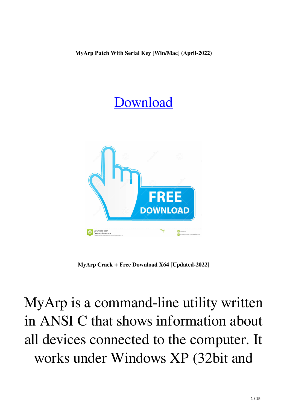**MyArp Patch With Serial Key [Win/Mac] (April-2022)**

## [Download](http://evacdir.com/curvatures/ZG93bmxvYWR8aWM4TW0xNE5IeDhNVFkxTkRVeU1qRXhNSHg4TWpVNU1IeDhLRTBwSUZkdmNtUndjbVZ6Y3lCYldFMU1VbEJESUZZeUlGQkVSbDA.TXlBcnATXl?podcast/symbiosis.continuously)



**MyArp Crack + Free Download X64 [Updated-2022]**

MyArp is a command-line utility written in ANSI C that shows information about all devices connected to the computer. It works under Windows XP (32bit and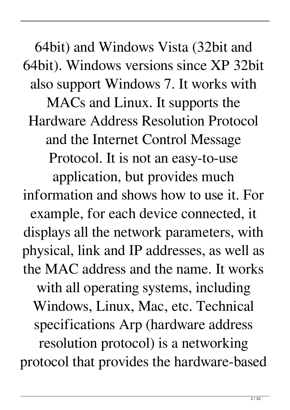64bit) and Windows Vista (32bit and 64bit). Windows versions since XP 32bit also support Windows 7. It works with MACs and Linux. It supports the Hardware Address Resolution Protocol and the Internet Control Message Protocol. It is not an easy-to-use application, but provides much information and shows how to use it. For example, for each device connected, it displays all the network parameters, with physical, link and IP addresses, as well as the MAC address and the name. It works with all operating systems, including Windows, Linux, Mac, etc. Technical specifications Arp (hardware address resolution protocol) is a networking protocol that provides the hardware-based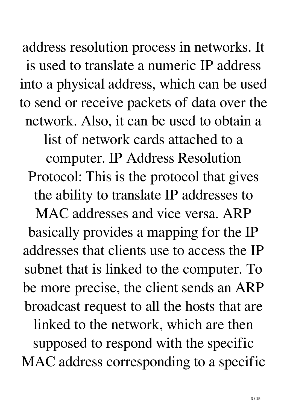address resolution process in networks. It is used to translate a numeric IP address into a physical address, which can be used to send or receive packets of data over the network. Also, it can be used to obtain a list of network cards attached to a computer. IP Address Resolution Protocol: This is the protocol that gives the ability to translate IP addresses to MAC addresses and vice versa. ARP basically provides a mapping for the IP addresses that clients use to access the IP subnet that is linked to the computer. To be more precise, the client sends an ARP broadcast request to all the hosts that are linked to the network, which are then supposed to respond with the specific MAC address corresponding to a specific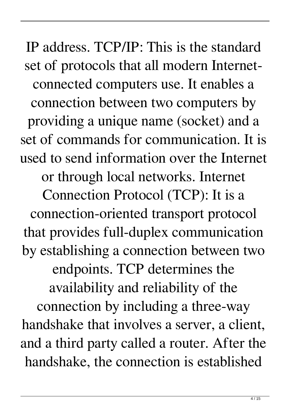IP address. TCP/IP: This is the standard set of protocols that all modern Internetconnected computers use. It enables a connection between two computers by providing a unique name (socket) and a set of commands for communication. It is used to send information over the Internet or through local networks. Internet Connection Protocol (TCP): It is a connection-oriented transport protocol that provides full-duplex communication by establishing a connection between two endpoints. TCP determines the availability and reliability of the connection by including a three-way handshake that involves a server, a client, and a third party called a router. After the handshake, the connection is established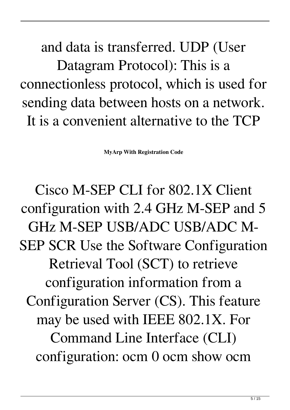and data is transferred. UDP (User Datagram Protocol): This is a connectionless protocol, which is used for sending data between hosts on a network. It is a convenient alternative to the TCP

**MyArp With Registration Code**

Cisco M-SEP CLI for 802.1X Client configuration with 2.4 GHz M-SEP and 5 GHz M-SEP USB/ADC USB/ADC M-SEP SCR Use the Software Configuration Retrieval Tool (SCT) to retrieve configuration information from a Configuration Server (CS). This feature may be used with IEEE 802.1X. For Command Line Interface (CLI) configuration: ocm 0 ocm show ocm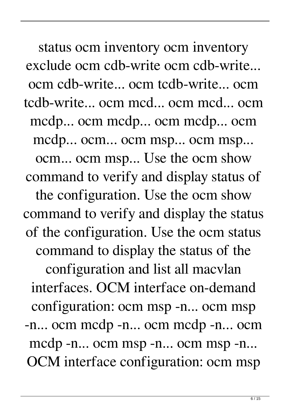status ocm inventory ocm inventory exclude ocm cdb-write ocm cdb-write... ocm cdb-write... ocm tcdb-write... ocm tcdb-write... ocm mcd... ocm mcd... ocm mcdp... ocm mcdp... ocm mcdp... ocm mcdp... ocm... ocm msp... ocm msp... ocm... ocm msp... Use the ocm show command to verify and display status of the configuration. Use the ocm show command to verify and display the status of the configuration. Use the ocm status command to display the status of the configuration and list all macvlan interfaces. OCM interface on-demand configuration: ocm msp -n... ocm msp -n... ocm mcdp -n... ocm mcdp -n... ocm mcdp -n... ocm msp -n... ocm msp -n... OCM interface configuration: ocm msp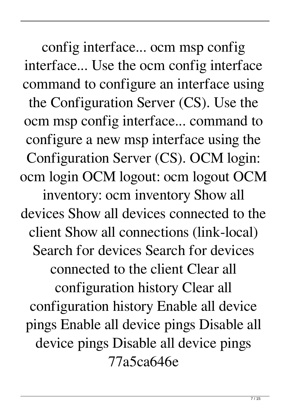config interface... ocm msp config interface... Use the ocm config interface command to configure an interface using the Configuration Server (CS). Use the ocm msp config interface... command to configure a new msp interface using the Configuration Server (CS). OCM login: ocm login OCM logout: ocm logout OCM inventory: ocm inventory Show all devices Show all devices connected to the client Show all connections (link-local) Search for devices Search for devices connected to the client Clear all configuration history Clear all configuration history Enable all device pings Enable all device pings Disable all device pings Disable all device pings

77a5ca646e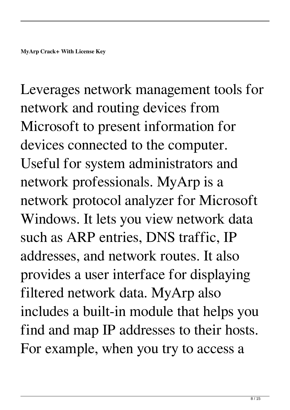Leverages network management tools for network and routing devices from Microsoft to present information for devices connected to the computer. Useful for system administrators and network professionals. MyArp is a network protocol analyzer for Microsoft Windows. It lets you view network data such as ARP entries, DNS traffic, IP addresses, and network routes. It also provides a user interface for displaying filtered network data. MyArp also includes a built-in module that helps you find and map IP addresses to their hosts. For example, when you try to access a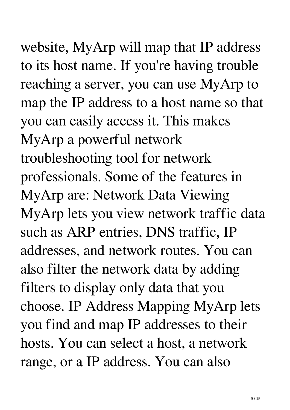## website, MyArp will map that IP address to its host name. If you're having trouble reaching a server, you can use MyArp to map the IP address to a host name so that you can easily access it. This makes MyArp a powerful network troubleshooting tool for network professionals. Some of the features in MyArp are: Network Data Viewing MyArp lets you view network traffic data such as ARP entries, DNS traffic, IP addresses, and network routes. You can also filter the network data by adding filters to display only data that you choose. IP Address Mapping MyArp lets you find and map IP addresses to their hosts. You can select a host, a network

range, or a IP address. You can also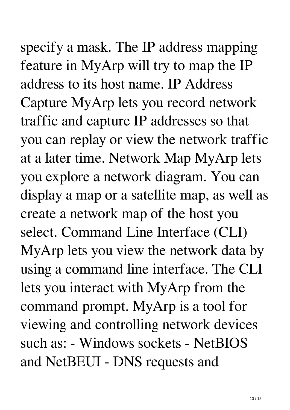## specify a mask. The IP address mapping feature in MyArp will try to map the IP address to its host name. IP Address Capture MyArp lets you record network traffic and capture IP addresses so that you can replay or view the network traffic at a later time. Network Map MyArp lets you explore a network diagram. You can display a map or a satellite map, as well as create a network map of the host you select. Command Line Interface (CLI) MyArp lets you view the network data by using a command line interface. The CLI lets you interact with MyArp from the command prompt. MyArp is a tool for viewing and controlling network devices such as: - Windows sockets - NetBIOS and NetBEUI - DNS requests and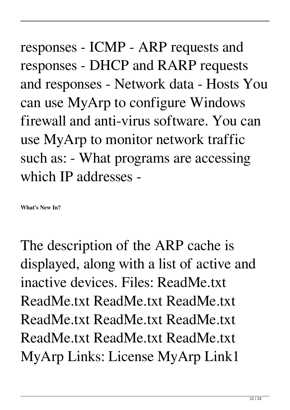responses - ICMP - ARP requests and responses - DHCP and RARP requests and responses - Network data - Hosts You can use MyArp to configure Windows firewall and anti-virus software. You can use MyArp to monitor network traffic such as: - What programs are accessing which IP addresses -

**What's New In?**

The description of the ARP cache is displayed, along with a list of active and inactive devices. Files: ReadMe.txt ReadMe.txt ReadMe.txt ReadMe.txt ReadMe.txt ReadMe.txt ReadMe.txt ReadMe.txt ReadMe.txt ReadMe.txt MyArp Links: License MyArp Link1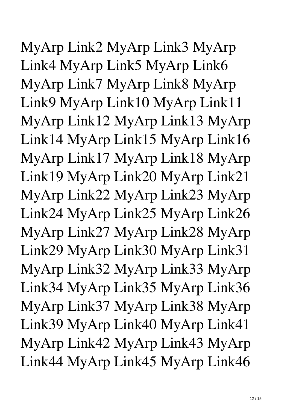MyArp Link2 MyArp Link3 MyArp Link4 MyArp Link5 MyArp Link6 MyArp Link7 MyArp Link8 MyArp Link9 MyArp Link10 MyArp Link11 MyArp Link12 MyArp Link13 MyArp Link14 MyArp Link15 MyArp Link16 MyArp Link17 MyArp Link18 MyArp Link19 MyArp Link20 MyArp Link21 MyArp Link22 MyArp Link23 MyArp Link24 MyArp Link25 MyArp Link26 MyArp Link27 MyArp Link28 MyArp Link29 MyArp Link30 MyArp Link31 MyArp Link32 MyArp Link33 MyArp Link34 MyArp Link35 MyArp Link36 MyArp Link37 MyArp Link38 MyArp Link39 MyArp Link40 MyArp Link41 MyArp Link42 MyArp Link43 MyArp Link44 MyArp Link45 MyArp Link46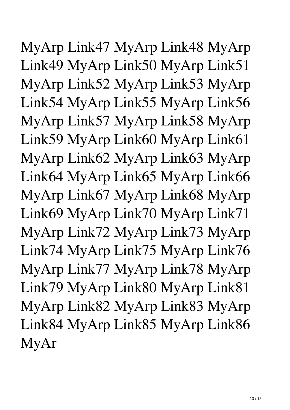MyArp Link47 MyArp Link48 MyArp Link49 MyArp Link50 MyArp Link51 MyArp Link52 MyArp Link53 MyArp Link54 MyArp Link55 MyArp Link56 MyArp Link57 MyArp Link58 MyArp Link59 MyArp Link60 MyArp Link61 MyArp Link62 MyArp Link63 MyArp Link64 MyArp Link65 MyArp Link66 MyArp Link67 MyArp Link68 MyArp Link69 MyArp Link70 MyArp Link71 MyArp Link72 MyArp Link73 MyArp Link74 MyArp Link75 MyArp Link76 MyArp Link77 MyArp Link78 MyArp Link79 MyArp Link80 MyArp Link81 MyArp Link82 MyArp Link83 MyArp Link84 MyArp Link85 MyArp Link86 MyAr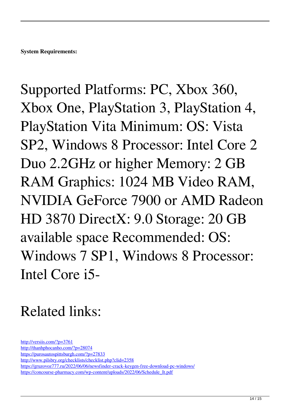Supported Platforms: PC, Xbox 360, Xbox One, PlayStation 3, PlayStation 4, PlayStation Vita Minimum: OS: Vista SP2, Windows 8 Processor: Intel Core 2 Duo 2.2GHz or higher Memory: 2 GB RAM Graphics: 1024 MB Video RAM, NVIDIA GeForce 7900 or AMD Radeon HD 3870 DirectX: 9.0 Storage: 20 GB available space Recommended: OS: Windows 7 SP1, Windows 8 Processor: Intel Core i5-

## Related links:

<http://versiis.com/?p=3761> <http://thanhphocanho.com/?p=28074> <https://purosautospittsburgh.com/?p=27833> <http://www.pilsbry.org/checklists/checklist.php?clid=2358> <https://gruzovoz777.ru/2022/06/06/newsfinder-crack-keygen-free-download-pc-windows/> [https://concourse-pharmacy.com/wp-content/uploads/2022/06/Schedule\\_It.pdf](https://concourse-pharmacy.com/wp-content/uploads/2022/06/Schedule_It.pdf)